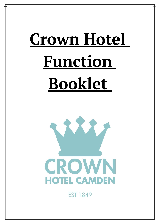# **Crown Hotel Function Booklet**



**FST 1849**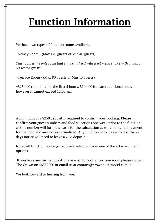# **Function Information**

We have two types of function rooms available:

~Sidney Room - (Max 120 guests or Min 40 guests)

*This room is the only room that can be utilised with a set menu choice with a max of 50 seated guests.*

~Terrace Room - (Max 80 guests or Min 40 guests)

~\$250.00 room hire for the first 5 hours, \$100.00 for each additional hour, however it cannot exceed 12.00 am.

A minimum of a \$250 deposit is required to confirm your booking. Please confirm your guest numbers and food selections one week prior to the function as this number will form the basis for the calculation at which time full payment for the food and any extras is finalised. Any function bookings with less than 7 days notice will need to leave a 25% deposit.

Note: All function bookings require a selection from one of the attached menu options.

If you have any further questions or wish to book a function room please contact The Crown on 46552200 or email us at contact@crownhotelmotel.com.au

We look forward to hearing from you.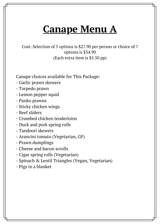### **Canape Menu A**

Cost: Selection of 5 options is \$27.90 per person or choice of 7 options is \$34.90 (Each extra item is \$5.50 pp)

Canape choices available for This Package:

- Garlic prawn skewers
- Torpedo prawn
- Lemon pepper squid
- Panko prawns
- Sticky chicken wings
- Beef sliders
- Crumbed chicken tenderloins
- Duck and pork spring rolls
- Tandoori skewers
- Arancini tomato (Vegetarian, GF)
- Prawn dumplings
- Cheese and bacon scrolls
- Cigar spring rolls (Vegetarian)
- Spinach & Lentil Triangles (Vegan, Vegetarian)
- Pigs in a blanket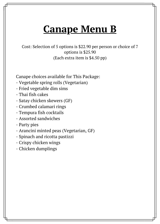### **Canape Menu B**

Cost: Selection of 5 options is \$22.90 per person or choice of 7 options is \$25.90 (Each extra item is \$4.50 pp)

Canape choices available for This Package:

- Vegetable spring rolls (Vegetarian)
- Fried vegetable dim sims
- Thai fish cakes
- Satay chicken skewers (GF)
- Crumbed calamari rings
- Tempura fish cocktails
- Assorted sandwiches
- Party pies
- Arancini minted peas (Vegetarian, GF)
- Spinach and ricotta pastizzi
- Crispy chicken wings
- Chicken dumplings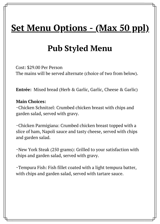#### **Set Menu Options - (Max 50 ppl)**

#### **Pub Styled Menu**

Cost: \$29.00 Per Person The mains will be served alternate (choice of two from below).

**Entrée:** Mixed bread (Herb & Garlic, Garlic, Cheese & Garlic)

#### **Main Choices:**

~Chicken Schnitzel: Crumbed chicken breast with chips and garden salad, served with gravy.

~Chicken Parmigiana: Crumbed chicken breast topped with a slice of ham, Napoli sauce and tasty cheese, served with chips and garden salad.

~New York Steak (250 grams): Grilled to your satisfaction with chips and garden salad, served with gravy.

~Tempura Fish: Fish fillet coated with a light tempura batter, with chips and garden salad, served with tartare sauce.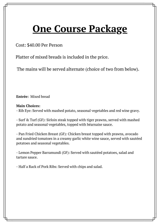### **One Course Package**

Cost: \$40.00 Per Person

Platter of mixed breads is included in the price.

The mains will be served alternate (choice of two from below).

**Entrée:** Mixed bread

#### **Main Choices:**

- Rib Eye: Served with mashed potato, seasonal vegetables and red wine gravy.

- Surf & Turf (GF): Sirloin steak topped with tiger prawns, served with mashed potato and seasonal vegetables, topped with béarnaise sauce.

- Pan Fried Chicken Breast (GF): Chicken breast topped with prawns, avocado and sundried tomatoes in a creamy garlic white wine sauce, served with sautéed potatoes and seasonal vegetables.

- Lemon Pepper Barramundi (GF): Served with sautéed potatoes, salad and tartare sauce.

- Half a Rack of Pork Ribs: Served with chips and salad.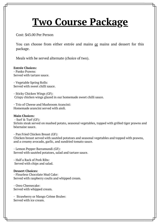### **Two Course Package**

Cost: \$43.00 Per Person

You can choose from either entrée and mains or mains and dessert for this package.

Meals with be served alternate (choice of two).

**Entrée Choices:** - Panko Prawns: Served with tartare sauce.

- Vegetable Spring Rolls: Served with sweet chilli sauce.

- Sticky Chicken Wings (GF): Crispy chicken wings glazed in our homemade sweet chilli sauce.

- Trio of Cheese and Mushroom Arancini: Homemade arancini served with aioli.

#### **Main Choices:**

- Surf & Turf (GF): Sirloin steak served on mashed potato, seasonal vegetables, topped with grilled tiger prawns and béarnaise sauce.

- Pan Fried Chicken Breast (GF): Chicken breast served with sautéed potatoes and seasonal vegetables and topped with prawns, and a creamy avocado, garlic, and sundried tomato sauce.

- Lemon Pepper Barramundi (GF): Served with sautéed potatoes, salad and tartare sauce.

- Half a Rack of Pork Ribs: Served with chips and salad.

#### **Dessert Choices:**

- Flourless Chocolate Mud Cake: Served with raspberry coulis and whipped cream.

- Oreo Cheesecake: Served with whipped cream.

- Strawberry or Mango Crème Brulee: Served with ice cream.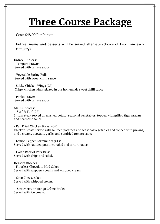### **Three Course Package**

Cost: \$48.00 Per Person

Entrée, mains and desserts will be served alternate (choice of two from each category).

#### **Entrée Choices:**

- Tempura Prawns: Served with tartare sauce.

- Vegetable Spring Rolls: Served with sweet chilli sauce.

- Sticky Chicken Wings (GF): Crispy chicken wings glazed in our homemade sweet chilli sauce.

- Panko Prawns: Served with tartare sauce.

#### **Main Choices:**

- Surf & Turf (GF): Sirloin steak served on mashed potato, seasonal vegetables, topped with grilled tiger prawns and béarnaise sauce.

- Pan Fried Chicken Breast (GF): Chicken breast served with sautéed potatoes and seasonal vegetables and topped with prawns, and a creamy avocado, garlic, and sundried tomato sauce.

- Lemon Pepper Barramundi (GF): Served with sautéed potatoes, salad and tartare sauce.

- Half a Rack of Pork Ribs: Served with chips and salad.

#### **Dessert Choices:**

- Flourless Chocolate Mud Cake: Served with raspberry coulis and whipped cream.

- Oreo Cheesecake: Served with whipped cream.

- Strawberry or Mango Crème Brulee: Served with ice cream.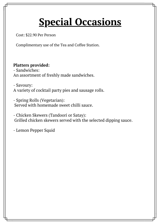# **Special Occasions**

Cost: \$22.90 Per Person

Complimentary use of the Tea and Coffee Station.

#### **Platters provided:**

- Sandwiches: An assortment of freshly made sandwiches.

- Savoury: A variety of cocktail party pies and sausage rolls.

- Spring Rolls (Vegetarian): Served with homemade sweet chilli sauce.

- Chicken Skewers (Tandoori or Satay): Grilled chicken skewers served with the selected dipping sauce.

- Lemon Pepper Squid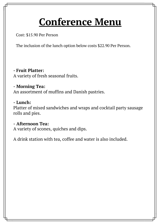# **Conference Menu**

Cost: \$15.90 Per Person

The inclusion of the lunch option below costs \$22.90 Per Person.

**- Fruit Platter:** A variety of fresh seasonal fruits.

**- Morning Tea:**

An assortment of muffins and Danish pastries.

#### **- Lunch:**

Platter of mixed sandwiches and wraps and cocktail party sausage rolls and pies.

**- Afternoon Tea:**

A variety of scones, quiches and dips.

A drink station with tea, coffee and water is also included.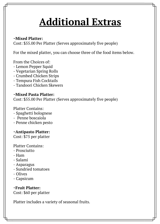# **Additional Extras**

#### **~Mixed Platter:**

Cost: \$55.00 Per Platter (Serves approximately five people)

For the mixed platter, you can choose three of the food items below.

From the Choices of:

- Lemon Pepper Squid
- Vegetarian Spring Rolls
- Crumbed Chicken Strips
- Tempura Fish Cocktails
- Tandoori Chicken Skewers

**~Mixed Pasta Platter:** Cost: \$55.00 Per Platter (Serves approximately five people)

Platter Contains: - Spaghetti bolognese - Penne boscaiola - Penne chicken pesto

**~Antipasto Platter:**

Cost: \$75 per platter

Platter Contains:

- Prosciutto
- Ham
- Salami
- Asparagus
- Sundried tomatoes
- Olives
- Capsicum

**~Fruit Platter:** Cost: \$60 per platter

Platter includes a variety of seasonal fruits.